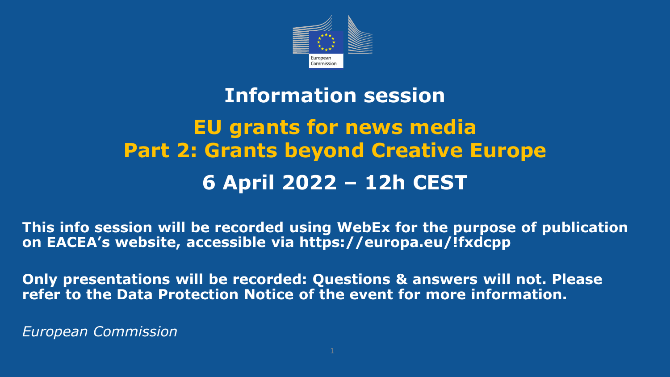

#### **Information session EU grants for news media Part 2: Grants beyond Creative Europe 6 April 2022 – 12h CEST**

**This info session will be recorded using WebEx for the purpose of publication on EACEA's website, accessible via https://europa.eu/!fxdcpp** 

**Only presentations will be recorded: Questions & answers will not. Please refer to the Data Protection Notice of the event for more information.** 

*European Commission*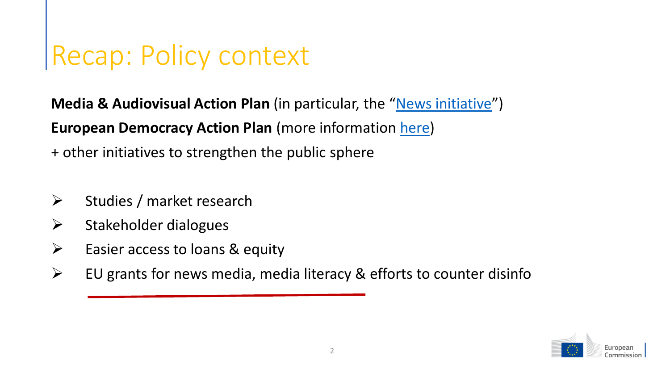Recap: Policy context

**Media & Audiovisual Action Plan** (in particular, the ["News initiative"](https://digital-strategy.ec.europa.eu/en/library/news-initiative)) **European Democracy Action Plan** (more information [here\)](https://ec.europa.eu/info/strategy/priorities-2019-2024/new-push-european-democracy/european-democracy-action-plan_en)

+ other initiatives to strengthen the public sphere

- $\triangleright$  Studies / market research
- $\triangleright$  Stakeholder dialogues
- $\triangleright$  Easier access to loans & equity
- $\triangleright$  EU grants for news media, media literacy & efforts to counter disinfo

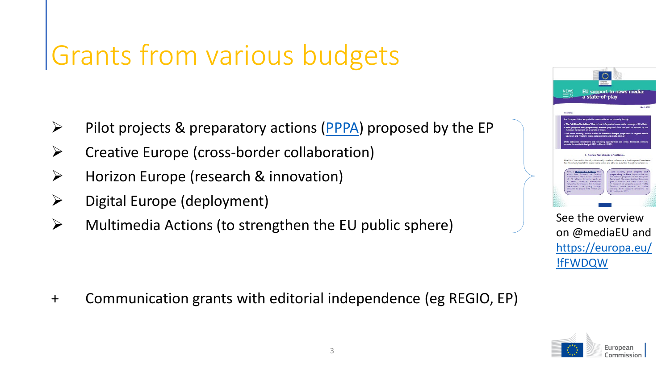### Grants from various budgets

- Pilot projects & preparatory actions  $(PPPA)$  $(PPPA)$  $(PPPA)$  proposed by the EP
- $\triangleright$  Creative Europe (cross-border collaboration)
- $\triangleright$  Horizon Europe (research & innovation)
- $\triangleright$  Digital Europe (deployment)
- $\triangleright$  Multimedia Actions (to strengthen the EU public sphere)



See the overview on @mediaEU and [https://europa.eu/](https://europa.eu/!fFWDQW) !fFWDQW

+ Communication grants with editorial independence (eg REGIO, EP)

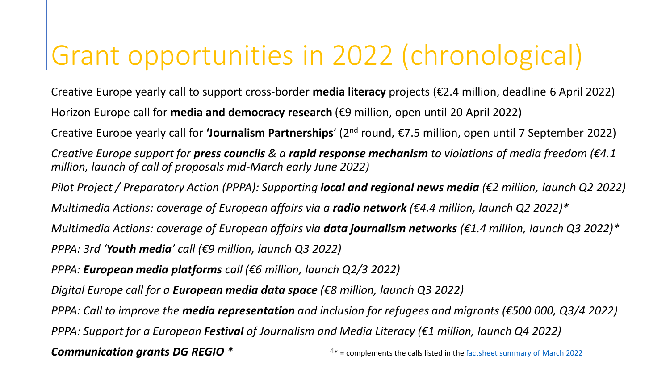### Grant opportunities in 2022 (chronological)

Creative Europe yearly call to support cross-border **media literacy** projects (€2.4 million, deadline 6 April 2022) Horizon Europe call for **media and democracy research** (€9 million, open until 20 April 2022)

Creative Europe yearly call for **'Journalism Partnerships**' (2nd round, €7.5 million, open until 7 September 2022)

*Creative Europe support for press councils & a rapid response mechanism to violations of media freedom (€4.1 million, launch of call of proposals mid-March early June 2022)*

*Pilot Project / Preparatory Action (PPPA): Supporting local and regional news media (€2 million, launch Q2 2022) Multimedia Actions: coverage of European affairs via a radio network (€4.4 million, launch Q2 2022)\**

*Multimedia Actions: coverage of European affairs via data journalism networks (€1.4 million, launch Q3 2022)\**

*PPPA: 3rd 'Youth media' call (€9 million, launch Q3 2022)*

*PPPA: European media platforms call (€6 million, launch Q2/3 2022)*

*Digital Europe call for a European media data space (€8 million, launch Q3 2022)*

*PPPA: Call to improve the media representation and inclusion for refugees and migrants (€500 000, Q3/4 2022) PPPA: Support for a European Festival of Journalism and Media Literacy (€1 million, launch Q4 2022)*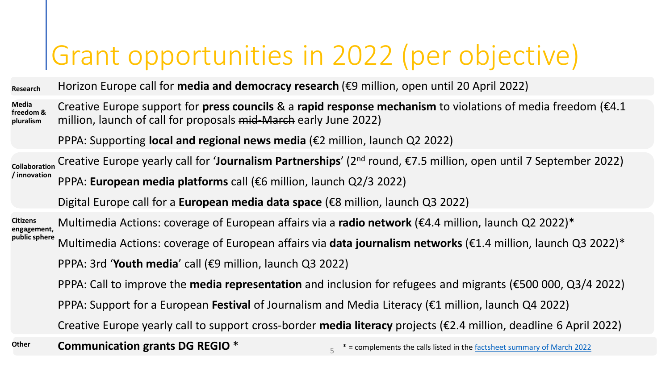## Grant opportunities in 2022 (per objective)

Horizon Europe call for **media and democracy research** (€9 million, open until 20 April 2022) **Research**

#### Creative Europe support for **press councils** & a **rapid response mechanism** to violations of media freedom (€4.1 million, launch of call for proposals mid-March early June 2022) **Media freedom & pluralism**

PPPA: Supporting **local and regional news media** (€2 million, launch Q2 2022)

Creative Europe yearly call for '**Journalism Partnerships**' (2nd round, €7.5 million, open until 7 September 2022) PPPA: **European media platforms** call (€6 million, launch Q2/3 2022) **Collaboration / innovation**

Digital Europe call for a **European media data space** (€8 million, launch Q3 2022)

Multimedia Actions: coverage of European affairs via a **radio network** (€4.4 million, launch Q2 2022)\* **Citizens engagement, public sphere**

Multimedia Actions: coverage of European affairs via **data journalism networks** (€1.4 million, launch Q3 2022)\*

PPPA: 3rd '**Youth media**' call (€9 million, launch Q3 2022)

PPPA: Call to improve the **media representation** and inclusion for refugees and migrants (€500 000, Q3/4 2022)

PPPA: Support for a European **Festival** of Journalism and Media Literacy (€1 million, launch Q4 2022)

Creative Europe yearly call to support cross-border **media literacy** projects (€2.4 million, deadline 6 April 2022)

**Other**

**Communication grants DG REGIO** \*  $\sqrt{2}$  \* = complements the calls listed in the [factsheet summary of March 2022](https://europa.eu/!fFWDQW)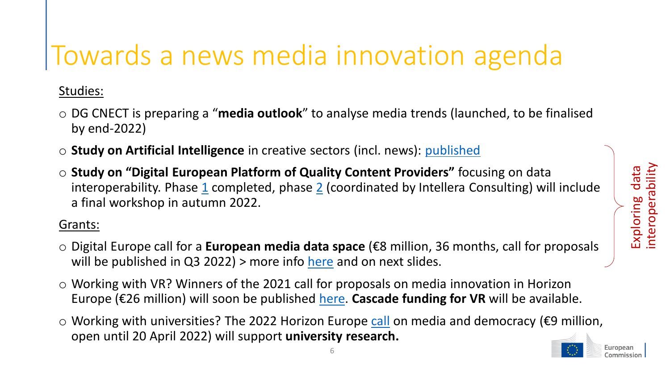### Towards a news media innovation agenda

#### Studies:

- o DG CNECT is preparing a "**media outlook**" to analyse media trends (launched, to be finalised by end-2022)
- o **Study on Artificial Intelligence** in creative sectors (incl. news): [published](https://digital-strategy.ec.europa.eu/en/library/study-opportunities-and-challenges-artificial-intelligence-ai-technologies-cultural-and-creative)
- o **Study on "Digital European Platform of Quality Content Providers"** focusing on data interoperability. Phase  $1$  completed, phase  $2$  (coordinated by Intellera Consulting) will include a final workshop in autumn 2022.

#### Grants:

- o Digital Europe call for a **European media data space** (€8 million, 36 months, call for proposals will be published in Q3 2022) > more info [here](https://digital-strategy.ec.europa.eu/en/library/staff-working-document-data-spaces) and on next slides.
- o Working with VR? Winners of the 2021 call for proposals on media innovation in Horizon Europe (€26 million) will soon be published [here](https://ec.europa.eu/info/funding-tenders/opportunities/portal/screen/opportunities/topic-details/horizon-cl4-2021-human-01-06;callCode=null;freeTextSearchKeyword=media;matchWholeText=true;typeCodes=1,0;statusCodes=31094501,31094502,31094503;programmePeriod=2021%20-%202027;programCcm2Id=43108390;programDivisionCode=null;focusAreaCode=null;destination=null;mission=null;geographicalZonesCode=null;programmeDivisionProspect=null;startDateLte=null;startDateGte=null;crossCuttingPriorityCode=null;cpvCode=null;performanceOfDelivery=null;sortQuery=sortStatus;orderBy=asc;onlyTenders=false;topicListKey=topicSearchTablePageState). **Cascade funding for VR** will be available.
- $\circ$  Working with universities? The 2022 Horizon Europe [call](https://ec.europa.eu/info/funding-tenders/opportunities/portal/screen/opportunities/topic-details/horizon-cl2-2022-democracy-01-06;callCode=HORIZON-CL2-2022-DEMOCRACY-01;freeTextSearchKeyword=;matchWholeText=true;typeCodes=1;statusCodes=31094501,31094502,31094503;programmePeriod=null;programCcm2Id=43108390;programDivisionCode=null;focusAreaCode=null;destination=null;mission=null;geographicalZonesCode=null;programmeDivisionProspect=null;startDateLte=null;startDateGte=null;crossCuttingPriorityCode=null;cpvCode=null;performanceOfDelivery=null;sortQuery=sortStatus;orderBy=asc;onlyTenders=false;topicListKey=callTopicSearchTableState) on media and democracy (€9 million, open until 20 April 2022) will support **university research.**

Exploring data

Exploring data<br>interoperability interoperability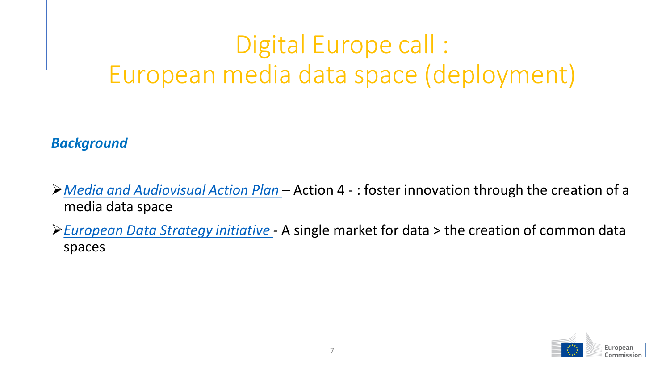### Digital Europe call : European media data space (deployment)

*Background*

- *[Media and Audiovisual Action Plan](https://digital-strategy.ec.europa.eu/en/policies/maap-implementation)*  Action 4 : foster innovation through the creation of a media data space
- *[European Data Strategy initiative](https://ec.europa.eu/info/strategy/priorities-2019-2024/europe-fit-digital-age/european-data-strategy) -* A single market for data > the creation of common data spaces

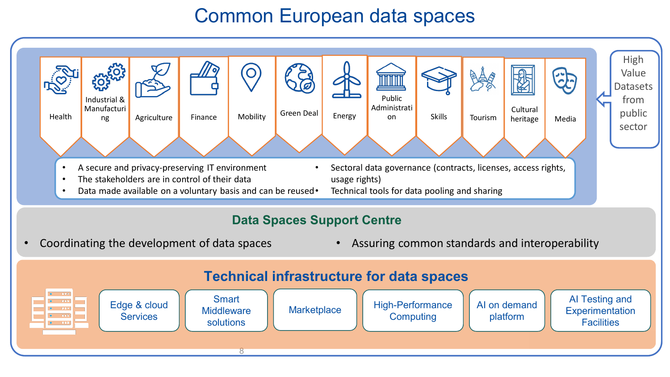#### Common European data spaces

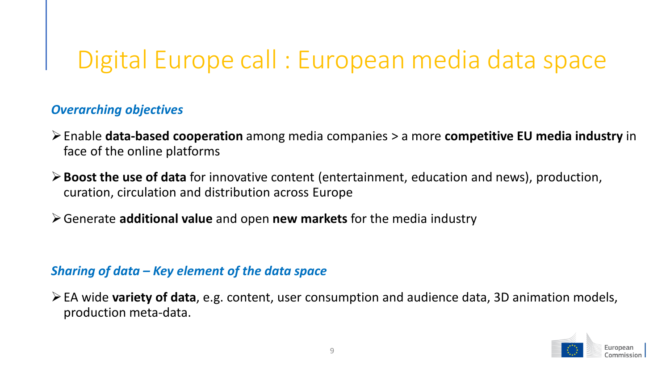#### Digital Europe call : European media data space

#### *Overarching objectives*

- Enable **data-based cooperation** among media companies > a more **competitive EU media industry** in face of the online platforms
- **Boost the use of data** for innovative content (entertainment, education and news), production, curation, circulation and distribution across Europe
- Generate **additional value** and open **new markets** for the media industry

#### *Sharing of data – Key element of the data space*

EA wide **variety of data**, e.g. content, user consumption and audience data, 3D animation models, production meta-data.

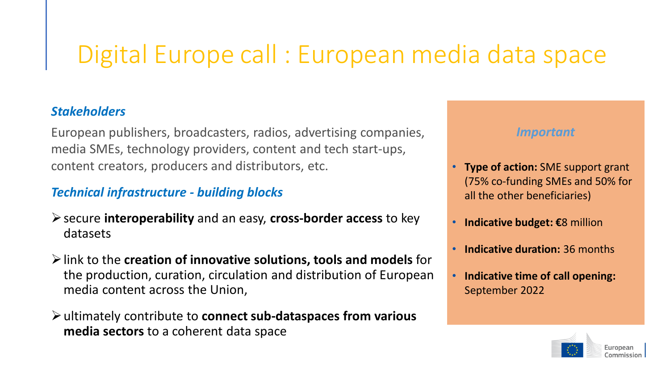#### Digital Europe call : European media data space

#### *Stakeholders*

European publishers, broadcasters, radios, advertising companies, media SMEs, technology providers, content and tech start-ups, content creators, producers and distributors, etc.

#### *Technical infrastructure - building blocks*

- secure **interoperability** and an easy, **cross-border access** to key datasets
- link to the **creation of innovative solutions, tools and models** for the production, curation, circulation and distribution of European media content across the Union,
- ultimately contribute to **connect sub-dataspaces from various media sectors** to a coherent data space

#### *Important*

- **Type of action:** SME support grant (75% co-funding SMEs and 50% for all the other beneficiaries)
- **Indicative budget: €**8 million
- **Indicative duration:** 36 months
- **Indicative time of call opening:**  September 2022

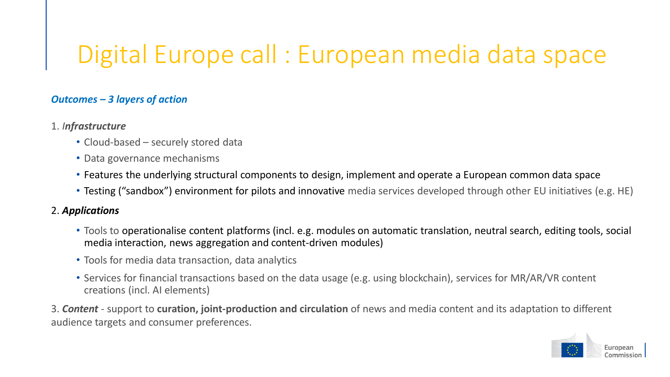#### Digital Europe call : European media data space

#### *Outcomes – 3 layers of action*

#### 1. *Infrastructure*

- Cloud-based securely stored data
- Data governance mechanisms
- Features the underlying structural components to design, implement and operate a European common data space
- Testing ("sandbox") environment for pilots and innovative media services developed through other EU initiatives (e.g. HE)

#### 2. *Applications*

- Tools to operationalise content platforms (incl. e.g. modules on automatic translation, neutral search, editing tools, social media interaction, news aggregation and content-driven modules)
- Tools for media data transaction, data analytics
- Services for financial transactions based on the data usage (e.g. using blockchain), services for MR/AR/VR content creations (incl. AI elements)

3. *Content* - support to **curation, joint-production and circulation** of news and media content and its adaptation to different audience targets and consumer preferences.

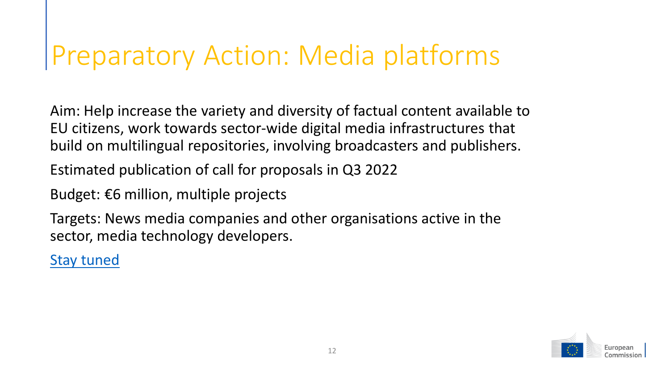### Preparatory Action: Media platforms

Aim: Help increase the variety and diversity of factual content available to EU citizens, work towards sector-wide digital media infrastructures that build on multilingual repositories, involving broadcasters and publishers.

Estimated publication of call for proposals in Q3 2022

Budget: €6 million, multiple projects

Targets: News media companies and other organisations active in the sector, media technology developers.

[Stay tuned](https://digital-strategy.ec.europa.eu/en/funding?topic=188)

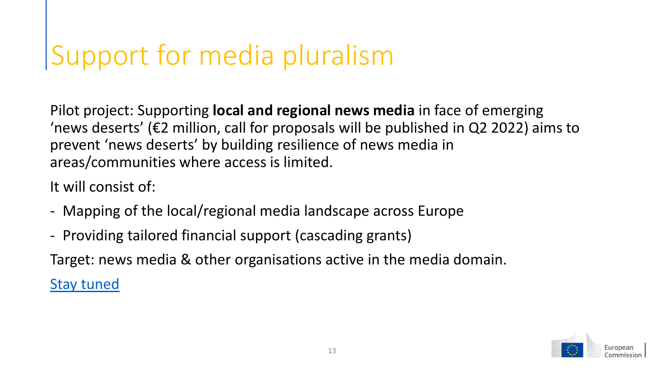## Support for media pluralism

Pilot project: Supporting **local and regional news media** in face of emerging 'news deserts' (€2 million, call for proposals will be published in Q2 2022) aims to prevent 'news deserts' by building resilience of news media in areas/communities where access is limited.

It will consist of:

- Mapping of the local/regional media landscape across Europe
- Providing tailored financial support (cascading grants)

Target: news media & other organisations active in the media domain.

[Stay tuned](https://digital-strategy.ec.europa.eu/en/funding?topic=188)

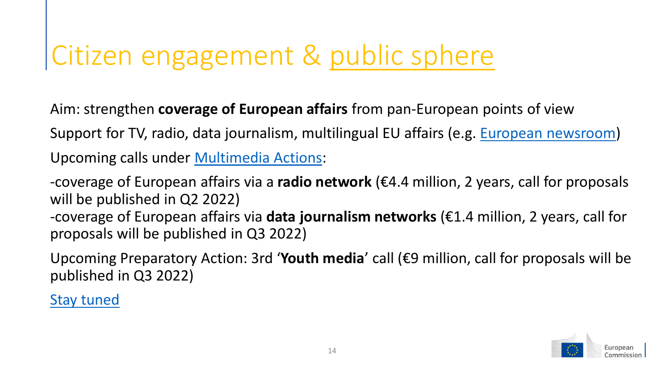### Citizen engagement & public sphere

Aim: strengthen **coverage of European affairs** from pan-European points of view

Support for TV, radio, data journalism, multilingual EU affairs (e.g. [European newsroom](https://digital-strategy.ec.europa.eu/en/news/european-newsroom-press-agencies))

Upcoming calls under [Multimedia Actions:](https://digital-strategy.ec.europa.eu/en/policies/multimedia-actions)

-coverage of European affairs via a **radio network** (€4.4 million, 2 years, call for proposals will be published in Q2 2022)

-coverage of European affairs via **data journalism networks** (€1.4 million, 2 years, call for proposals will be published in Q3 2022)

Upcoming Preparatory Action: 3rd '**Youth media**' call (€9 million, call for proposals will be published in Q3 2022)

[Stay tuned](https://digital-strategy.ec.europa.eu/en/funding?topic=188)

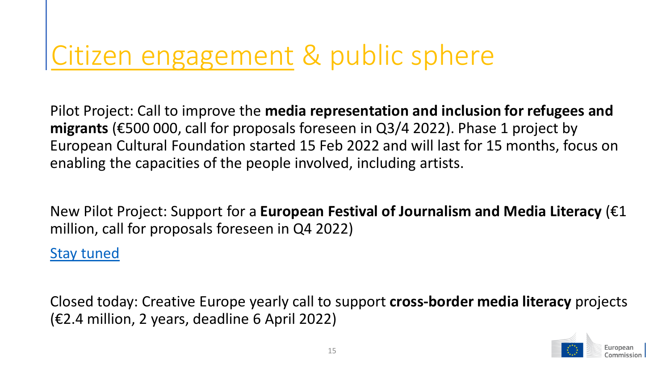### Citizen engagement & public sphere

Pilot Project: Call to improve the **media representation and inclusion for refugees and migrants** (€500 000, call for proposals foreseen in Q3/4 2022). Phase 1 project by European Cultural Foundation started 15 Feb 2022 and will last for 15 months, focus on enabling the capacities of the people involved, including artists.

New Pilot Project: Support for a **European Festival of Journalism and Media Literacy** (€1 million, call for proposals foreseen in Q4 2022)

[Stay tuned](https://digital-strategy.ec.europa.eu/en/funding?topic=188)

Closed today: Creative Europe yearly call to support **cross-border media literacy** projects (€2.4 million, 2 years, deadline 6 April 2022)

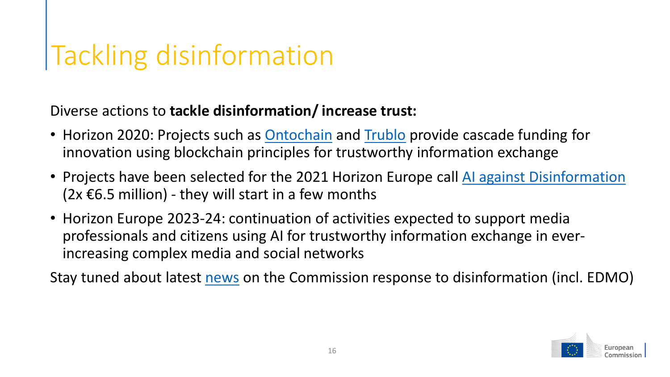### Tackling disinformation

Diverse actions to **tackle disinformation/ increase trust:**

- Horizon 2020: Projects such as **Ontochain** and **[Trublo](https://www.trublo.eu/)** provide cascade funding for innovation using blockchain principles for trustworthy information exchange
- Projects have been selected for the 2021 Horizon Europe call [AI against Disinformation](https://ec.europa.eu/info/funding-tenders/opportunities/portal/screen/opportunities/topic-details/horizon-cl4-2021-human-01-27;callCode=null;freeTextSearchKeyword=;matchWholeText=true;typeCodes=1;statusCodes=31094501,31094502,31094503;programmePeriod=2021%20-%202027;programCcm2Id=43108390;programDivisionCode=43120193;focusAreaCode=null;destination=null;mission=null;geographicalZonesCode=null;programmeDivisionProspect=null;startDateLte=null;startDateGte=null;crossCuttingPriorityCode=null;cpvCode=null;performanceOfDelivery=null;sortQuery=sortStatus;orderBy=asc;onlyTenders=false;topicListKey=topicSearchTablePageState)  $(2x \text{ } \in 6.5 \text{ million})$  - they will start in a few months
- Horizon Europe 2023-24: continuation of activities expected to support media professionals and citizens using AI for trustworthy information exchange in everincreasing complex media and social networks

Stay tuned about latest [news](https://digital-strategy.ec.europa.eu/en/related-content?topic=169) on the Commission response to disinformation (incl. EDMO)

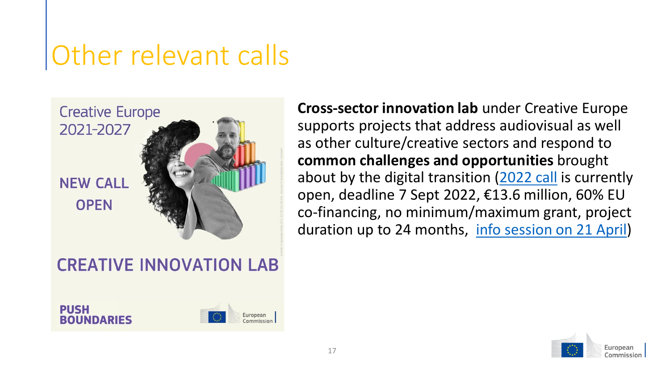### Other relevant calls

**Creative Europe** 2021-2027 **NEW CALI OPEN** 

#### **CREATIVE INNOVATION LAB**



**Cross-sector innovation lab** under Creative Europe supports projects that address audiovisual as well as other culture/creative sectors and respond to **common challenges and opportunities** brought about by the digital transition [\(2022 call](https://europa.eu/!rypNjy) is currently open, deadline 7 Sept 2022, €13.6 million, 60% EU co-financing, no minimum/maximum grant, project duration up to 24 months, [info session on 21 April](https://twitter.com/MEDIAprogEU/status/1509147660783136777))

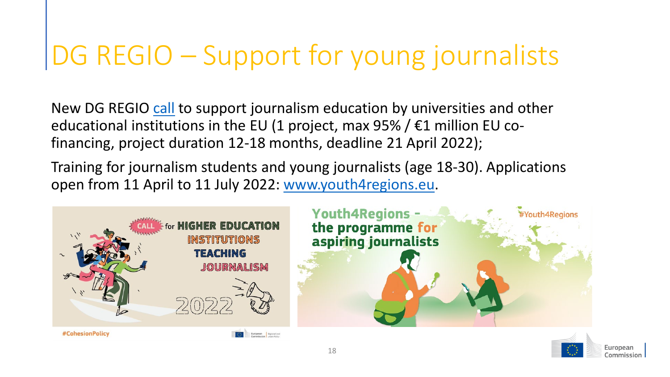### DG REGIO – Support for young journalists

New DG REGIO [call](https://ec.europa.eu/regional_policy/en/newsroom/news/2021/05/05-03-2021-eu-cohesion-policy-commission-launches-call-for-proposals-worth-eur1-million-for-journalism-education) to support journalism education by universities and other educational institutions in the EU (1 project, max 95% /  $\epsilon$ 1 million EU cofinancing, project duration 12-18 months, deadline 21 April 2022);

Training for journalism students and young journalists (age 18-30). Applications open from 11 April to 11 July 2022: [www.youth4regions.eu.](http://www.youth4regions.eu/)



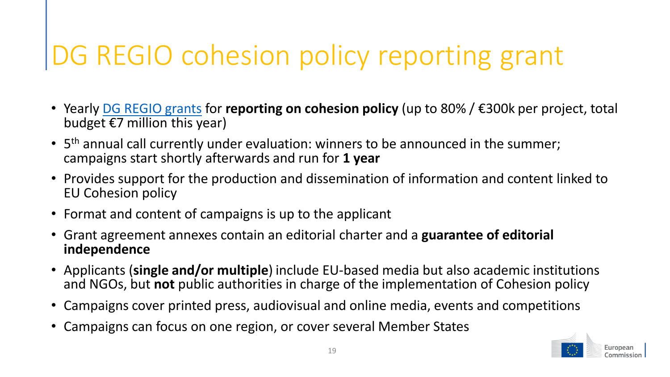### DG REGIO cohesion policy reporting grant

- Yearly [DG REGIO grants](https://ec.europa.eu/regional_policy/en/newsroom/funding-opportunities/calls-for-proposal/) for **reporting on cohesion policy** (up to 80% / €300k per project, total budget €7 million this year)
- 5<sup>th</sup> annual call currently under evaluation: winners to be announced in the summer; campaigns start shortly afterwards and run for **1 year**
- Provides support for the production and dissemination of information and content linked to EU Cohesion policy
- Format and content of campaigns is up to the applicant
- Grant agreement annexes contain an editorial charter and a **guarantee of editorial independence**
- Applicants (**single and/or multiple**) include EU-based media but also academic institutions and NGOs, but **not** public authorities in charge of the implementation of Cohesion policy
- Campaigns cover printed press, audiovisual and online media, events and competitions
- Campaigns can focus on one region, or cover several Member States